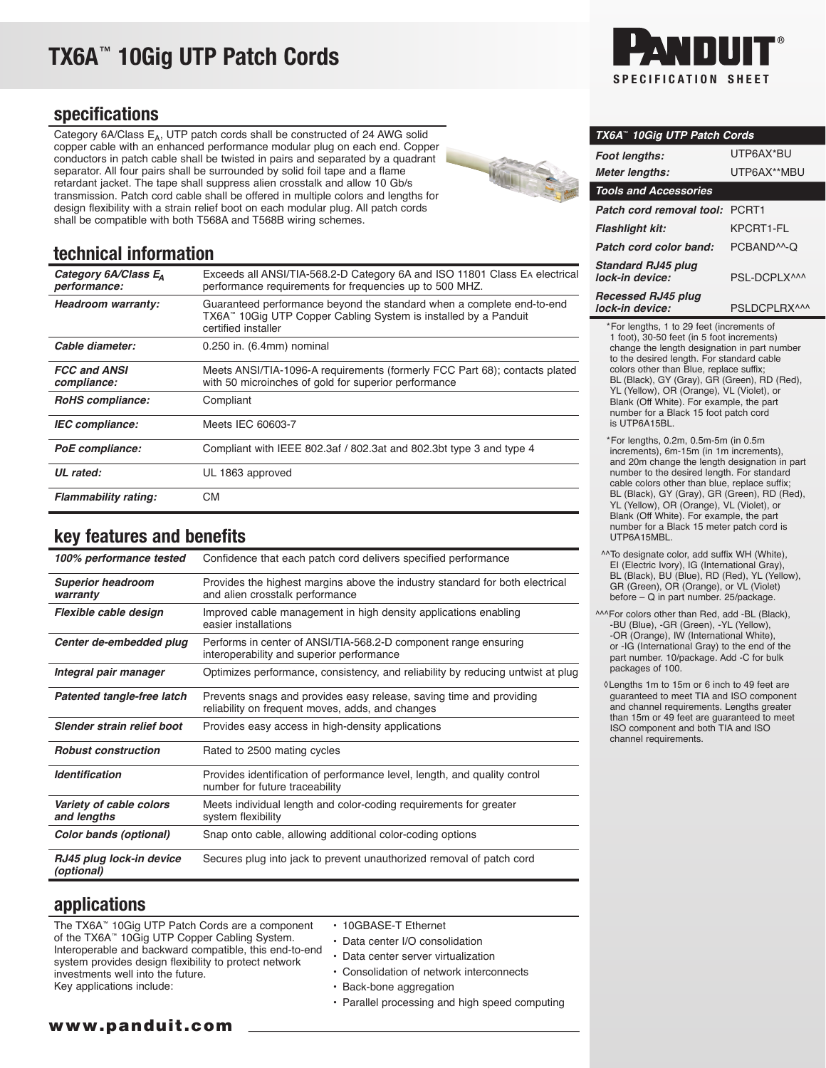# TX6A™ 10Gig UTP Patch Cords

### specifications

Category 6A/Class  $E_A$ , UTP patch cords shall be constructed of 24 AWG solid copper cable with an enhanced performance modular plug on each end. Copper conductors in patch cable shall be twisted in pairs and separated by a quadrant separator. All four pairs shall be surrounded by solid foil tape and a flame retardant jacket. The tape shall suppress alien crosstalk and allow 10 Gb/s transmission. Patch cord cable shall be offered in multiple colors and lengths for design flexibility with a strain relief boot on each modular plug. All patch cords shall be compatible with both T568A and T568B wiring schemes.



## technical information

| Category 6A/Class E <sub>A</sub><br>performance: | Exceeds all ANSI/TIA-568.2-D Category 6A and ISO 11801 Class EA electrical<br>performance requirements for frequencies up to 500 MHZ.                           |
|--------------------------------------------------|-----------------------------------------------------------------------------------------------------------------------------------------------------------------|
| Headroom warranty:                               | Guaranteed performance beyond the standard when a complete end-to-end<br>TX6A™ 10Gig UTP Copper Cabling System is installed by a Panduit<br>certified installer |
| Cable diameter:                                  | 0.250 in. (6.4mm) nominal                                                                                                                                       |
| <b>FCC and ANSI</b><br>compliance:               | Meets ANSI/TIA-1096-A requirements (formerly FCC Part 68); contacts plated<br>with 50 microinches of gold for superior performance                              |
| <b>RoHS</b> compliance:                          | Compliant                                                                                                                                                       |
| <b>IEC</b> compliance:                           | Meets IEC 60603-7                                                                                                                                               |
| PoE compliance:                                  | Compliant with IEEE 802.3af / 802.3at and 802.3bt type 3 and type 4                                                                                             |
| UL rated:                                        | UL 1863 approved                                                                                                                                                |
| <b>Flammability rating:</b>                      | <b>CM</b>                                                                                                                                                       |

# key features and benefits

| 100% performance tested                | Confidence that each patch cord delivers specified performance                                                          |
|----------------------------------------|-------------------------------------------------------------------------------------------------------------------------|
| <b>Superior headroom</b><br>warranty   | Provides the highest margins above the industry standard for both electrical<br>and alien crosstalk performance         |
| Flexible cable design                  | Improved cable management in high density applications enabling<br>easier installations                                 |
| Center de-embedded plug                | Performs in center of ANSI/TIA-568.2-D component range ensuring<br>interoperability and superior performance            |
| Integral pair manager                  | Optimizes performance, consistency, and reliability by reducing untwist at plug                                         |
| Patented tangle-free latch             | Prevents snags and provides easy release, saving time and providing<br>reliability on frequent moves, adds, and changes |
| Slender strain relief boot             | Provides easy access in high-density applications                                                                       |
| <b>Robust construction</b>             | Rated to 2500 mating cycles                                                                                             |
| <b>Identification</b>                  | Provides identification of performance level, length, and quality control<br>number for future traceability             |
| Variety of cable colors<br>and lengths | Meets individual length and color-coding requirements for greater<br>system flexibility                                 |
| Color bands (optional)                 | Snap onto cable, allowing additional color-coding options                                                               |
| RJ45 plug lock-in device<br>(optional) | Secures plug into jack to prevent unauthorized removal of patch cord                                                    |

### applications

| The TX6A™ 10Gig UTP Patch Cords are a component<br>of the TX6A <sup>"</sup> 10Gig UTP Copper Cabling System.<br>Interoperable and backward compatible, this end-to-end<br>system provides design flexibility to protect network<br>investments well into the future. | • 10GBASE-T Ethernet<br>• Data center I/O consolidation<br>• Data center server virtualization<br>• Consolidation of network interconnects |
|----------------------------------------------------------------------------------------------------------------------------------------------------------------------------------------------------------------------------------------------------------------------|--------------------------------------------------------------------------------------------------------------------------------------------|
|                                                                                                                                                                                                                                                                      | • Back-bone aggregation                                                                                                                    |
| Key applications include:                                                                                                                                                                                                                                            |                                                                                                                                            |
|                                                                                                                                                                                                                                                                      | • Parallel processing and high speed computing                                                                                             |



| TX6A™ 10Gig UTP Patch Cords                  |                         |  |
|----------------------------------------------|-------------------------|--|
| <b>Foot lengths:</b>                         | UTP6AX*BU               |  |
| <b>Meter lengths:</b>                        | UTP6AX**MBU             |  |
| <b>Tools and Accessories</b>                 |                         |  |
| Patch cord removal tool:                     | PCRT <sub>1</sub>       |  |
| <b>Flashlight kit:</b>                       | KPCRT1-FI               |  |
| Patch cord color band:                       | PCBAND <sup>^^</sup> -Q |  |
| <b>Standard RJ45 plug</b><br>lock-in device: | PSI-DCPI X <sup>^</sup> |  |
| <b>Recessed RJ45 plug</b><br>lock-in device: | PSLDCPLRX^^^            |  |

 \*For lengths, 1 to 29 feet (increments of 1 foot), 30-50 feet (in 5 foot increments) change the length designation in part number to the desired length. For standard cable colors other than Blue, replace suffix; BL (Black), GY (Gray), GR (Green), RD (Red), YL (Yellow), OR (Orange), VL (Violet), or Blank (Off White). For example, the part number for a Black 15 foot patch cord is UTP6A15BL.

 \*For lengths, 0.2m, 0.5m-5m (in 0.5m increments), 6m-15m (in 1m increments), and 20m change the length designation in part number to the desired length. For standard cable colors other than blue, replace suffix; BL (Black), GY (Gray), GR (Green), RD (Red), YL (Yellow), OR (Orange), VL (Violet), or Blank (Off White). For example, the part number for a Black 15 meter patch cord is UTP6A15MBL.

^^To designate color, add suffix WH (White), EI (Electric Ivory), IG (International Gray), BL (Black), BU (Blue), RD (Red), YL (Yellow), GR (Green), OR (Orange), or VL (Violet) before – Q in part number. 25/package.

^^^For colors other than Red, add -BL (Black), -BU (Blue), -GR (Green), -YL (Yellow), -OR (Orange), IW (International White) or -IG (International Gray) to the end of the part number. 10/package. Add -C for bulk packages of 100.

 ◊Lengths 1m to 15m or 6 inch to 49 feet are guaranteed to meet TIA and ISO component and channel requirements. Lengths greater than 15m or 49 feet are guaranteed to meet ISO component and both TIA and ISO channel requirements.